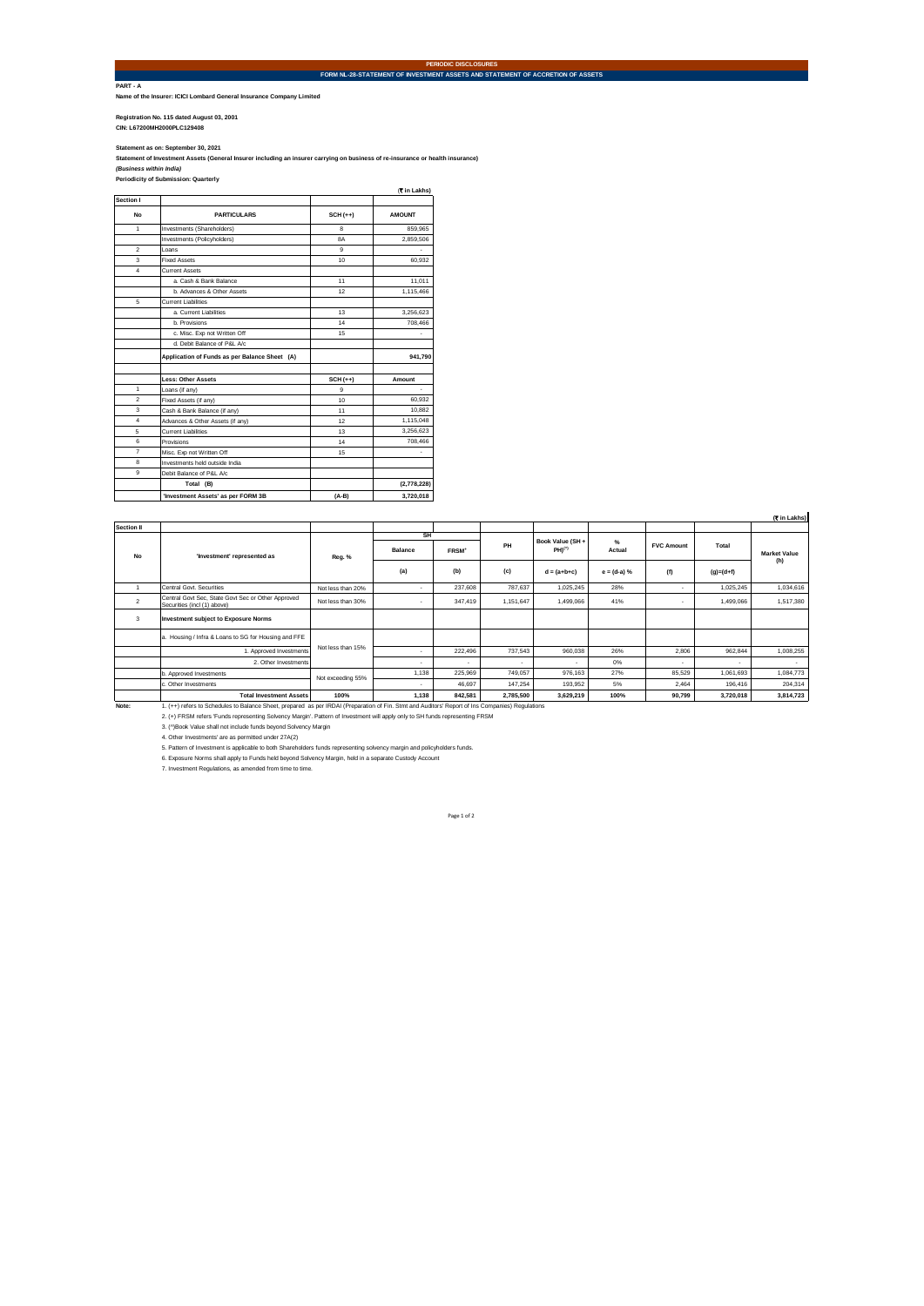**PART - A Name of the Insurer: ICICI Lombard General Insurance Company Limited**

**Registration No. 115 dated August 03, 2001 CIN: L67200MH2000PLC129408** 

Statement as on: September 30, 2021<br>Statement of Investment Assets (General Insurer including an insurer carrying on business of re-insurance or health insurance)<br>*(Business within India)*<br>Periodicity of Submission: Quarte

| Section I                |                                               |                  |               |
|--------------------------|-----------------------------------------------|------------------|---------------|
| No                       | <b>PARTICULARS</b>                            | $SCH (++)$       | <b>AMOUNT</b> |
| 1                        | Investments (Shareholders)                    | R.               | 859.965       |
|                          | Investments (Policyholders)                   | <b>BA</b>        | 2,859,506     |
| $\overline{\phantom{a}}$ | I nans                                        | a                |               |
| 3                        | <b>Fixed Assets</b>                           | 10 <sub>10</sub> | 60.932        |
| 4                        | Current Assets                                |                  |               |
|                          | a. Cash & Bank Balance                        | 11               | 11,011        |
|                          | b. Advances & Other Assets                    | 12               | 1,115,466     |
| 5                        | <b>Current Liabilities</b>                    |                  |               |
|                          | a. Current Liabilities                        | 13               | 3,256,623     |
|                          | h Provisions                                  | 14               | 708,466       |
|                          | c. Misc. Exp not Written Off                  | 15               |               |
|                          | d. Debit Balance of P&L A/c                   |                  |               |
|                          | Application of Funds as per Balance Sheet (A) |                  | 941,790       |
|                          | <b>Less: Other Assets</b>                     | $SCH (++)$       | Amount        |
| 1                        | Loans (if any)                                | a                | ×,            |
| $\overline{2}$           | Fixed Assets (if any)                         | 10 <sub>10</sub> | 60.932        |
| 3                        | Cash & Bank Balance (if any)                  | 11               | 10,882        |
| $\overline{4}$           | Advances & Other Assets (if any)              | 12               | 1,115,048     |
| 5                        | <b>Current Liabilities</b>                    | 13               | 3,256,623     |
| 6                        | Provisions                                    | 14               | 708,466       |
| 7                        | Misc. Exp not Written Off                     | 15               | ٠             |
| 8                        | Investments held outside India                |                  |               |
| g.                       | Debit Balance of P&L A/c                      |                  |               |
|                          | Total (B)                                     |                  | (2,778,228)   |
|                          | 'Investment Assets' as per FORM 3B            | $(A-B)$          | 3,720,018     |

|                |                                                                                                                                                  |                   |              |                   |           |                                 |               |                   |             | (Cin Lakhs)  |
|----------------|--------------------------------------------------------------------------------------------------------------------------------------------------|-------------------|--------------|-------------------|-----------|---------------------------------|---------------|-------------------|-------------|--------------|
| Section II     |                                                                                                                                                  |                   |              |                   |           |                                 |               |                   |             |              |
| <b>No</b>      | 'Investment' represented as                                                                                                                      | Reg. %            | SH           |                   |           |                                 |               |                   |             |              |
|                |                                                                                                                                                  |                   | Balance      | FRSM <sup>+</sup> | PH        | Book Value (SH +<br>$PHI^{(*)}$ | %<br>Actual   | <b>FVC Amount</b> | Total       | Market Value |
|                |                                                                                                                                                  |                   | (a)          | (b)               | (c)       | $d = (a+b+c)$                   | $e = (d-a) %$ | (f)               | $(q)=(d+f)$ | (h)          |
| $\overline{1}$ | Central Govt, Securities                                                                                                                         | Not less than 20% | $\mathbf{r}$ | 237.608           | 787.637   | 1,025,245                       | 28%           | ٠                 | 1.025.245   | 1,034,616    |
| $\overline{2}$ | Central Govt Sec. State Govt Sec or Other Approved<br>Securities (incl (1) above)                                                                | Not less than 30% |              | 347.419           | 1.151.647 | 1.499.066                       | 41%           | ٠                 | 1.499.066   | 1.517.380    |
| 3              | <b>Investment subject to Exposure Norms</b>                                                                                                      |                   |              |                   |           |                                 |               |                   |             |              |
|                | a. Housing / Infra & Loans to SG for Housing and FFE                                                                                             | Not less than 15% |              |                   |           |                                 |               |                   |             |              |
|                | 1. Approved Investments                                                                                                                          |                   | $\mathbf{r}$ | 222.496           | 737.543   | 960.038                         | 26%           | 2.806             | 962.844     | 1,008,255    |
|                | 2. Other Investments                                                                                                                             |                   | ٠            |                   |           |                                 | 0%            | ٠                 | ٠           |              |
|                | b. Approved Investments                                                                                                                          | Not exceeding 55% | 1.138        | 225.969           | 749.057   | 976.163                         | 27%           | 85.529            | 1.061.693   | 1.084.773    |
|                | c. Other Investments                                                                                                                             |                   | $\mathbf{r}$ | 46.697            | 147.254   | 193,952                         | 5%            | 2.464             | 196,416     | 204,314      |
|                | <b>Total Investment Assets</b>                                                                                                                   | 100%              | 1.138        | 842.581           | 2.785.500 | 3.629.219                       | 100%          | 90.799            | 3.720.018   | 3,814,723    |
| Note:          | 1. (++) refers to Schedules to Balance Sheet, prepared as per IRDAI (Preparation of Fin. Stmt and Auditors' Report of Ins Companies) Regulations |                   |              |                   |           |                                 |               |                   |             |              |
|                | 2. (+) FRSM refers 'Funds representing Solvency Margin'. Pattern of Investment will apply only to SH funds representing FRSM                     |                   |              |                   |           |                                 |               |                   |             |              |
|                | 3. (^)Book Value shall not include funds beyond Solvency Margin                                                                                  |                   |              |                   |           |                                 |               |                   |             |              |
|                | 4. Other Investments' are as permitted under 27A(2)                                                                                              |                   |              |                   |           |                                 |               |                   |             |              |
|                | 5. Pattern of Investment is applicable to both Shareholders funds representing solvency margin and policyholders funds.                          |                   |              |                   |           |                                 |               |                   |             |              |
|                | 6. Exposure Norms shall apply to Funds held beyond Solvency Margin, held in a separate Custody Account                                           |                   |              |                   |           |                                 |               |                   |             |              |
|                | 7. Investment Regulations, as amended from time to time.                                                                                         |                   |              |                   |           |                                 |               |                   |             |              |

**PERIODIC DISCLOSURES FORM NL-28-STATEMENT OF INVESTMENT ASSETS AND STATEMENT OF ACCRETION OF ASSETS**

Page 1 of 2